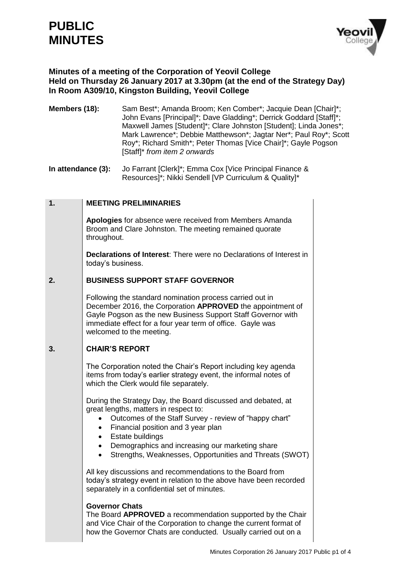# **PUBLIC MINUTES**



## **Minutes of a meeting of the Corporation of Yeovil College Held on Thursday 26 January 2017 at 3.30pm (at the end of the Strategy Day) In Room A309/10, Kingston Building, Yeovil College**

- **Members (18):** Sam Best<sup>\*</sup>; Amanda Broom; Ken Comber<sup>\*</sup>; Jacquie Dean [Chair]<sup>\*</sup>; John Evans [Principal]\*; Dave Gladding\*; Derrick Goddard [Staff]\*; Maxwell James [Student]\*; Clare Johnston [Student]; Linda Jones\*; Mark Lawrence\*; Debbie Matthewson\*; Jagtar Ner\*; Paul Roy\*; Scott Roy\*; Richard Smith\*; Peter Thomas [Vice Chair]\*; Gayle Pogson [Staff]\* *from item 2 onwards*
- **In attendance (3):** Jo Farrant [Clerk]\*; Emma Cox [Vice Principal Finance & Resources]\*; Nikki Sendell [VP Curriculum & Quality]\*

#### **1. MEETING PRELIMINARIES**

**Apologies** for absence were received from Members Amanda Broom and Clare Johnston. The meeting remained quorate throughout.

**Declarations of Interest**: There were no Declarations of Interest in today's business.

#### **2. BUSINESS SUPPORT STAFF GOVERNOR**

Following the standard nomination process carried out in December 2016, the Corporation **APPROVED** the appointment of Gayle Pogson as the new Business Support Staff Governor with immediate effect for a four year term of office. Gayle was welcomed to the meeting.

#### **3. CHAIR'S REPORT**

The Corporation noted the Chair's Report including key agenda items from today's earlier strategy event, the informal notes of which the Clerk would file separately.

During the Strategy Day, the Board discussed and debated, at great lengths, matters in respect to:

- Outcomes of the Staff Survey review of "happy chart"
- Financial position and 3 year plan
- Estate buildings
- Demographics and increasing our marketing share
- Strengths, Weaknesses, Opportunities and Threats (SWOT)

All key discussions and recommendations to the Board from today's strategy event in relation to the above have been recorded separately in a confidential set of minutes.

#### **Governor Chats**

The Board **APPROVED** a recommendation supported by the Chair and Vice Chair of the Corporation to change the current format of how the Governor Chats are conducted. Usually carried out on a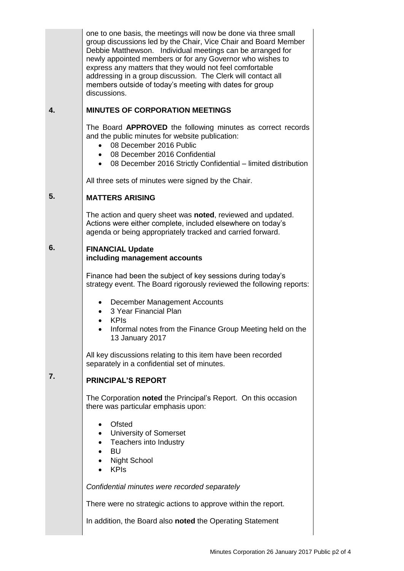one to one basis, the meetings will now be done via three small group discussions led by the Chair, Vice Chair and Board Member Debbie Matthewson. Individual meetings can be arranged for newly appointed members or for any Governor who wishes to express any matters that they would not feel comfortable addressing in a group discussion. The Clerk will contact all members outside of today's meeting with dates for group discussions. **MINUTES OF CORPORATION MEETINGS** The Board **APPROVED** the following minutes as correct records and the public minutes for website publication: 08 December 2016 Public 08 December 2016 Confidential 08 December 2016 Strictly Confidential – limited distribution All three sets of minutes were signed by the Chair. **MATTERS ARISING** The action and query sheet was **noted**, reviewed and updated. Actions were either complete, included elsewhere on today's agenda or being appropriately tracked and carried forward. **FINANCIAL Update including management accounts** Finance had been the subject of key sessions during today's strategy event. The Board rigorously reviewed the following reports: December Management Accounts 3 Year Financial Plan KPIs Informal notes from the Finance Group Meeting held on the 13 January 2017 All key discussions relating to this item have been recorded separately in a confidential set of minutes.

#### **7. PRINCIPAL'S REPORT**

**4.**

**5.**

**6.**

The Corporation **noted** the Principal's Report. On this occasion there was particular emphasis upon:

- Ofsted
- University of Somerset
- Teachers into Industry
- BU
- Night School
- KPIs

*Confidential minutes were recorded separately*

There were no strategic actions to approve within the report.

In addition, the Board also **noted** the Operating Statement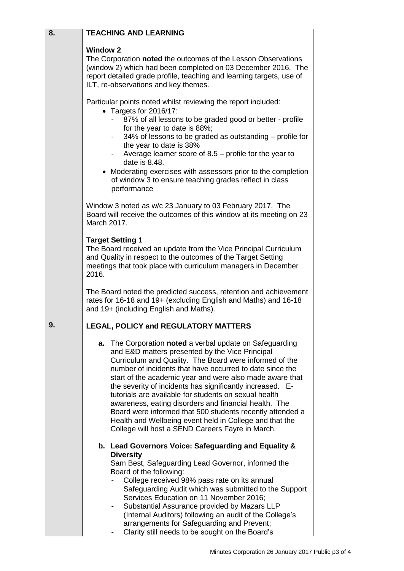## **TEACHING AND LEARNING**

#### **Window 2**

**8.**

**9.**

The Corporation **noted** the outcomes of the Lesson Observations (window 2) which had been completed on 03 December 2016. The report detailed grade profile, teaching and learning targets, use of ILT, re-observations and key themes.

Particular points noted whilst reviewing the report included:

- Targets for 2016/17:
	- 87% of all lessons to be graded good or better profile for the year to date is 88%;
	- 34% of lessons to be graded as outstanding profile for the year to date is 38%
	- Average learner score of  $8.5$  profile for the year to date is 8.48.
- Moderating exercises with assessors prior to the completion of window 3 to ensure teaching grades reflect in class performance

Window 3 noted as w/c 23 January to 03 February 2017. The Board will receive the outcomes of this window at its meeting on 23 March 2017.

#### **Target Setting 1**

The Board received an update from the Vice Principal Curriculum and Quality in respect to the outcomes of the Target Setting meetings that took place with curriculum managers in December 2016.

The Board noted the predicted success, retention and achievement rates for 16-18 and 19+ (excluding English and Maths) and 16-18 and 19+ (including English and Maths).

### **LEGAL, POLICY and REGULATORY MATTERS**

**a.** The Corporation **noted** a verbal update on Safeguarding and E&D matters presented by the Vice Principal Curriculum and Quality. The Board were informed of the number of incidents that have occurred to date since the start of the academic year and were also made aware that the severity of incidents has significantly increased. Etutorials are available for students on sexual health awareness, eating disorders and financial health. The Board were informed that 500 students recently attended a Health and Wellbeing event held in College and that the College will host a SEND Careers Fayre in March.

#### **b. Lead Governors Voice: Safeguarding and Equality & Diversity**

Sam Best, Safeguarding Lead Governor, informed the Board of the following:

- College received 98% pass rate on its annual Safeguarding Audit which was submitted to the Support Services Education on 11 November 2016;
- Substantial Assurance provided by Mazars LLP (Internal Auditors) following an audit of the College's arrangements for Safeguarding and Prevent;
- Clarity still needs to be sought on the Board's